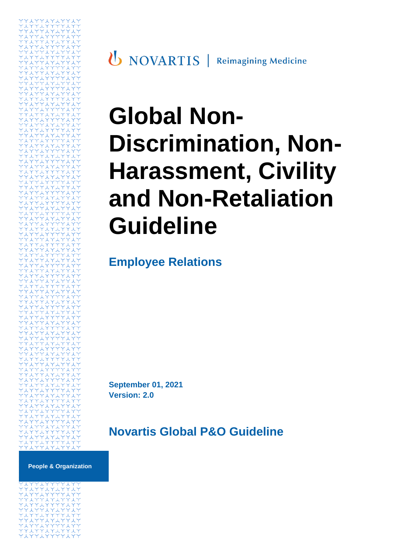

# **Global Non-Discrimination, Non-Harassment, Civility and Non-Retaliation Guideline**

**Employee Relations**

**September 01, 2021 Version: 2.0**

# **Novartis Global P&O Guideline**

**People & Organization**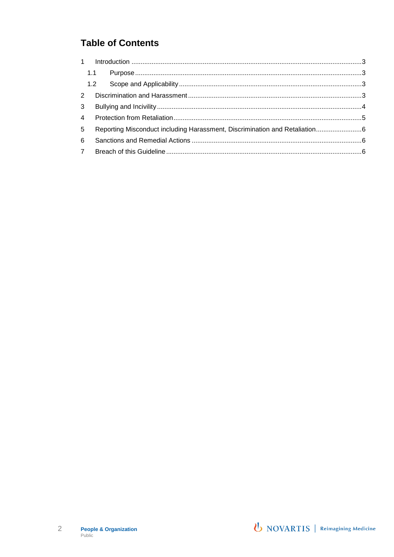#### **Table of Contents**

| 5 | Reporting Misconduct including Harassment, Discrimination and Retaliation6 |  |  |
|---|----------------------------------------------------------------------------|--|--|
| 6 |                                                                            |  |  |
|   |                                                                            |  |  |
|   |                                                                            |  |  |

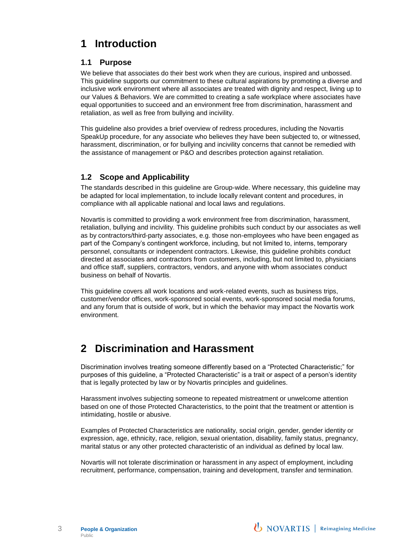## <span id="page-2-0"></span>**1 Introduction**

#### <span id="page-2-1"></span>**1.1 Purpose**

We believe that associates do their best work when they are curious, inspired and unbossed. This guideline supports our commitment to these cultural aspirations by promoting a diverse and inclusive work environment where all associates are treated with dignity and respect, living up to our Values & Behaviors. We are committed to creating a safe workplace where associates have equal opportunities to succeed and an environment free from discrimination, harassment and retaliation, as well as free from bullying and incivility.

This guideline also provides a brief overview of redress procedures, including the Novartis SpeakUp procedure, for any associate who believes they have been subjected to, or witnessed, harassment, discrimination, or for bullying and incivility concerns that cannot be remedied with the assistance of management or P&O and describes protection against retaliation.

#### <span id="page-2-2"></span>**1.2 Scope and Applicability**

The standards described in this guideline are Group-wide. Where necessary, this guideline may be adapted for local implementation, to include locally relevant content and procedures, in compliance with all applicable national and local laws and regulations.

Novartis is committed to providing a work environment free from discrimination, harassment, retaliation, bullying and incivility. This guideline prohibits such conduct by our associates as well as by contractors/third-party associates, e.g. those non-employees who have been engaged as part of the Company's contingent workforce, including, but not limited to, interns, temporary personnel, consultants or independent contractors. Likewise, this guideline prohibits conduct directed at associates and contractors from customers, including, but not limited to, physicians and office staff, suppliers, contractors, vendors, and anyone with whom associates conduct business on behalf of Novartis.

This guideline covers all work locations and work-related events, such as business trips, customer/vendor offices, work-sponsored social events, work-sponsored social media forums, and any forum that is outside of work, but in which the behavior may impact the Novartis work environment.

#### <span id="page-2-3"></span>**2 Discrimination and Harassment**

Discrimination involves treating someone differently based on a "Protected Characteristic;" for purposes of this guideline, a "Protected Characteristic" is a trait or aspect of a person's identity that is legally protected by law or by Novartis principles and guidelines.

Harassment involves subjecting someone to repeated mistreatment or unwelcome attention based on one of those Protected Characteristics, to the point that the treatment or attention is intimidating, hostile or abusive.

Examples of Protected Characteristics are nationality, social origin, gender, gender identity or expression, age, ethnicity, race, religion, sexual orientation, disability, family status, pregnancy, marital status or any other protected characteristic of an individual as defined by local law.

Novartis will not tolerate discrimination or harassment in any aspect of employment, including recruitment, performance, compensation, training and development, transfer and termination.

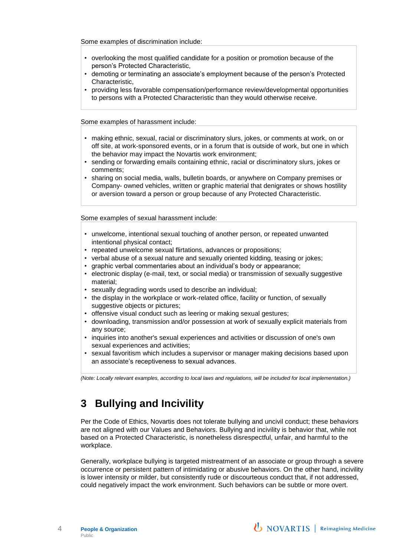Some examples of discrimination include:

- overlooking the most qualified candidate for a position or promotion because of the person's Protected Characteristic,
- demoting or terminating an associate's employment because of the person's Protected Characteristic,
- providing less favorable compensation/performance review/developmental opportunities to persons with a Protected Characteristic than they would otherwise receive.

Some examples of harassment include:

- making ethnic, sexual, racial or discriminatory slurs, jokes, or comments at work, on or off site, at work-sponsored events, or in a forum that is outside of work, but one in which the behavior may impact the Novartis work environment;
- sending or forwarding emails containing ethnic, racial or discriminatory slurs, jokes or comments;
- sharing on social media, walls, bulletin boards, or anywhere on Company premises or Company- owned vehicles, written or graphic material that denigrates or shows hostility or aversion toward a person or group because of any Protected Characteristic.

Some examples of sexual harassment include:

- unwelcome, intentional sexual touching of another person, or repeated unwanted intentional physical contact;
- repeated unwelcome sexual flirtations, advances or propositions;
- verbal abuse of a sexual nature and sexually oriented kidding, teasing or jokes;
- graphic verbal commentaries about an individual's body or appearance;
- electronic display (e-mail, text, or social media) or transmission of sexually suggestive material;
- sexually degrading words used to describe an individual;
- the display in the workplace or work-related office, facility or function, of sexually suggestive objects or pictures;
- offensive visual conduct such as leering or making sexual gestures;
- downloading, transmission and/or possession at work of sexually explicit materials from any source;
- inquiries into another's sexual experiences and activities or discussion of one's own sexual experiences and activities;
- sexual favoritism which includes a supervisor or manager making decisions based upon an associate's receptiveness to sexual advances.

*(Note: Locally relevant examples, according to local laws and regulations, will be included for local implementation.)*

#### <span id="page-3-0"></span>**3 Bullying and Incivility**

Per the Code of Ethics, Novartis does not tolerate bullying and uncivil conduct; these behaviors are not aligned with our Values and Behaviors. Bullying and incivility is behavior that, while not based on a Protected Characteristic, is nonetheless disrespectful, unfair, and harmful to the workplace.

Generally, workplace bullying is targeted mistreatment of an associate or group through a severe occurrence or persistent pattern of intimidating or abusive behaviors. On the other hand, incivility is lower intensity or milder, but consistently rude or discourteous conduct that, if not addressed, could negatively impact the work environment. Such behaviors can be subtle or more overt.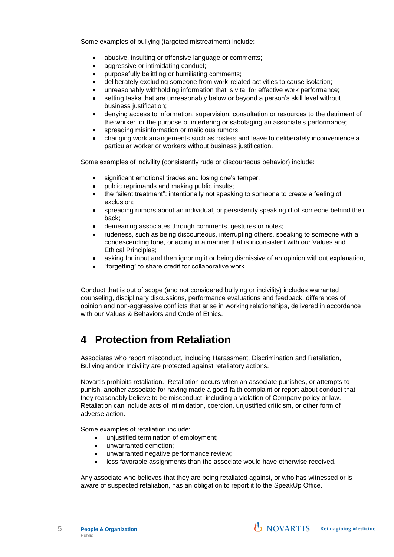Some examples of bullying (targeted mistreatment) include:

- abusive, insulting or offensive language or comments;
- aggressive or intimidating conduct;
- purposefully belittling or humiliating comments;
- deliberately excluding someone from work-related activities to cause isolation;
- unreasonably withholding information that is vital for effective work performance;
- setting tasks that are unreasonably below or beyond a person's skill level without business justification:
- denying access to information, supervision, consultation or resources to the detriment of the worker for the purpose of interfering or sabotaging an associate's performance;
- spreading misinformation or malicious rumors;
- changing work arrangements such as rosters and leave to deliberately inconvenience a particular worker or workers without business justification.

Some examples of incivility (consistently rude or discourteous behavior) include:

- significant emotional tirades and losing one's temper;
- public reprimands and making public insults;
- the "silent treatment": intentionally not speaking to someone to create a feeling of exclusion;
- spreading rumors about an individual, or persistently speaking ill of someone behind their back;
- demeaning associates through comments, gestures or notes;
- rudeness, such as being discourteous, interrupting others, speaking to someone with a condescending tone, or acting in a manner that is inconsistent with our Values and Ethical Principles;
- asking for input and then ignoring it or being dismissive of an opinion without explanation,
- "forgetting" to share credit for collaborative work.

Conduct that is out of scope (and not considered bullying or incivility) includes warranted counseling, disciplinary discussions, performance evaluations and feedback, differences of opinion and non-aggressive conflicts that arise in working relationships, delivered in accordance with our Values & Behaviors and Code of Ethics.

#### <span id="page-4-0"></span>**4 Protection from Retaliation**

Associates who report misconduct, including Harassment, Discrimination and Retaliation, Bullying and/or Incivility are protected against retaliatory actions.

Novartis prohibits retaliation. Retaliation occurs when an associate punishes, or attempts to punish, another associate for having made a good-faith complaint or report about conduct that they reasonably believe to be misconduct, including a violation of Company policy or law. Retaliation can include acts of intimidation, coercion, unjustified criticism, or other form of adverse action.

Some examples of retaliation include:

- unjustified termination of employment;
- unwarranted demotion;
- unwarranted negative performance review;
- less favorable assignments than the associate would have otherwise received.

Any associate who believes that they are being retaliated against, or who has witnessed or is aware of suspected retaliation, has an obligation to report it to the SpeakUp Office.